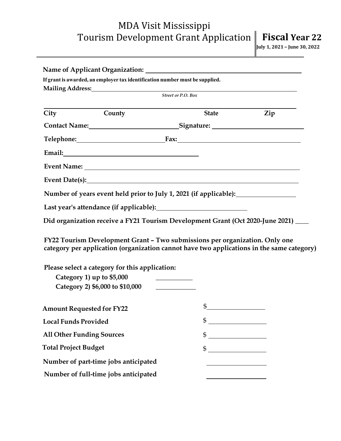## MDA Visit Mississippi Tourism Development Grant Application **Fiscal Year 22** July 1, 2021 - June 30, 2022

|                                      | If grant is awarded, an employer tax identification number must be supplied.<br>Mailing Address: 1988 and 2008 and 2008 and 2008 and 2008 and 2008 and 2008 and 2008 and 2008 and 2008 and 200                                                                                                                                                                                                                                   |                         |     |
|--------------------------------------|----------------------------------------------------------------------------------------------------------------------------------------------------------------------------------------------------------------------------------------------------------------------------------------------------------------------------------------------------------------------------------------------------------------------------------|-------------------------|-----|
| Street or P.O. Box                   |                                                                                                                                                                                                                                                                                                                                                                                                                                  |                         |     |
| City                                 | County                                                                                                                                                                                                                                                                                                                                                                                                                           | <b>State</b>            | Zip |
|                                      | Contact Name: Signature: Signature:                                                                                                                                                                                                                                                                                                                                                                                              |                         |     |
|                                      | Telephone: Fax: Fax:                                                                                                                                                                                                                                                                                                                                                                                                             |                         |     |
|                                      |                                                                                                                                                                                                                                                                                                                                                                                                                                  |                         |     |
|                                      |                                                                                                                                                                                                                                                                                                                                                                                                                                  |                         |     |
|                                      | Event Date(s): Note that the set of the set of the set of the set of the set of the set of the set of the set of the set of the set of the set of the set of the set of the set of the set of the set of the set of the set of                                                                                                                                                                                                   |                         |     |
|                                      | Number of years event held prior to July 1, 2021 (if applicable): ______________                                                                                                                                                                                                                                                                                                                                                 |                         |     |
|                                      |                                                                                                                                                                                                                                                                                                                                                                                                                                  |                         |     |
|                                      |                                                                                                                                                                                                                                                                                                                                                                                                                                  |                         |     |
|                                      | Did organization receive a FY21 Tourism Development Grant (Oct 2020-June 2021) ___                                                                                                                                                                                                                                                                                                                                               |                         |     |
| Category 1) up to \$5,000            | FY22 Tourism Development Grant - Two submissions per organization. Only one<br>category per application (organization cannot have two applications in the same category)<br>Please select a category for this application:<br><u> 1990 - Johann Barbara, martin a</u><br>Category 2) \$6,000 to \$10,000<br><u> 1989 - Jan Stein Stein Stein Stein Stein Stein Stein Stein Stein Stein Stein Stein Stein Stein Stein Stein S</u> |                         |     |
| <b>Amount Requested for FY22</b>     |                                                                                                                                                                                                                                                                                                                                                                                                                                  | \$                      |     |
| <b>Local Funds Provided</b>          |                                                                                                                                                                                                                                                                                                                                                                                                                                  | $\frac{1}{2}$           |     |
| <b>All Other Funding Sources</b>     |                                                                                                                                                                                                                                                                                                                                                                                                                                  |                         |     |
| <b>Total Project Budget</b>          |                                                                                                                                                                                                                                                                                                                                                                                                                                  | $\qquad \qquad \bullet$ |     |
| Number of part-time jobs anticipated |                                                                                                                                                                                                                                                                                                                                                                                                                                  |                         |     |